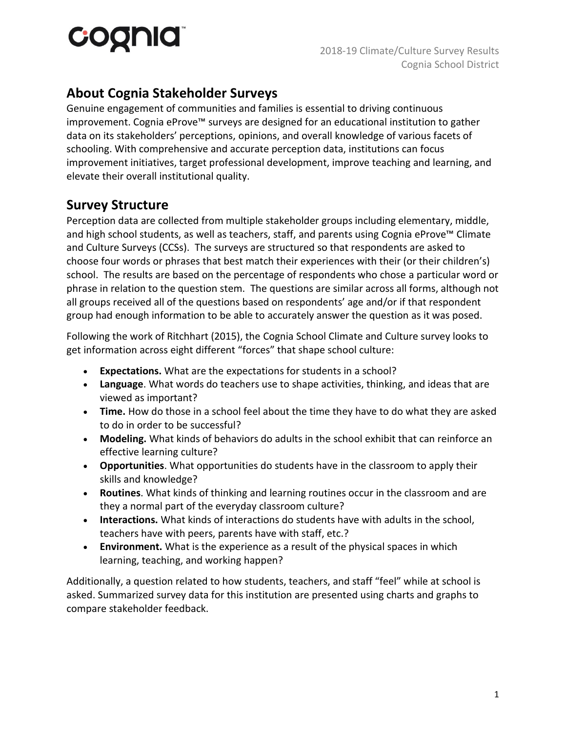# cognia

## **About Cognia Stakeholder Surveys**

Genuine engagement of communities and families is essential to driving continuous improvement. Cognia eProve™ surveys are designed for an educational institution to gather data on its stakeholders' perceptions, opinions, and overall knowledge of various facets of schooling. With comprehensive and accurate perception data, institutions can focus improvement initiatives, target professional development, improve teaching and learning, and elevate their overall institutional quality.

## **Survey Structure**

Perception data are collected from multiple stakeholder groups including elementary, middle, and high school students, as well as teachers, staff, and parents using Cognia eProve™ Climate and Culture Surveys (CCSs). The surveys are structured so that respondents are asked to choose four words or phrases that best match their experiences with their (or their children's) school. The results are based on the percentage of respondents who chose a particular word or phrase in relation to the question stem. The questions are similar across all forms, although not all groups received all of the questions based on respondents' age and/or if that respondent group had enough information to be able to accurately answer the question as it was posed.

Following the work of Ritchhart (2015), the Cognia School Climate and Culture survey looks to get information across eight different "forces" that shape school culture:

- **Expectations.** What are the expectations for students in a school?
- **Language**. What words do teachers use to shape activities, thinking, and ideas that are viewed as important?
- **Time.** How do those in a school feel about the time they have to do what they are asked to do in order to be successful?
- **Modeling.** What kinds of behaviors do adults in the school exhibit that can reinforce an effective learning culture?
- **Opportunities**. What opportunities do students have in the classroom to apply their skills and knowledge?
- **Routines**. What kinds of thinking and learning routines occur in the classroom and are they a normal part of the everyday classroom culture?
- **Interactions.** What kinds of interactions do students have with adults in the school, teachers have with peers, parents have with staff, etc.?
- **Environment.** What is the experience as a result of the physical spaces in which learning, teaching, and working happen?

Additionally, a question related to how students, teachers, and staff "feel" while at school is asked. Summarized survey data for this institution are presented using charts and graphs to compare stakeholder feedback.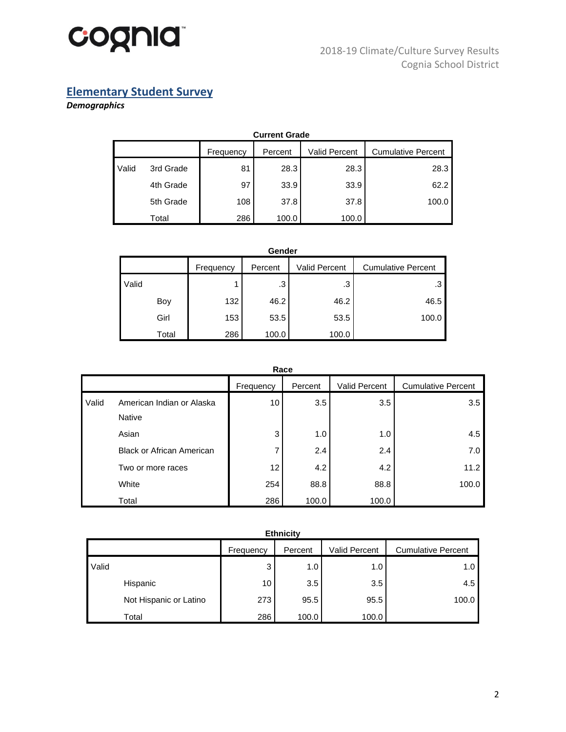

## **Elementary Student Survey**

## *Demographics*

|       | <b>Current Grade</b> |           |         |                      |                           |  |  |  |  |
|-------|----------------------|-----------|---------|----------------------|---------------------------|--|--|--|--|
|       |                      | Frequency | Percent | <b>Valid Percent</b> | <b>Cumulative Percent</b> |  |  |  |  |
| Valid | 3rd Grade            | 81        | 28.3    | 28.3                 | 28.3                      |  |  |  |  |
|       | 4th Grade            | 97        | 33.9    | 33.9                 | 62.2                      |  |  |  |  |
|       | 5th Grade            | 108       | 37.8    | 37.8                 | 100.0                     |  |  |  |  |
|       | Total                | 286       | 100.0   | 100.0                |                           |  |  |  |  |

| Gender |       |           |         |                      |                           |  |  |  |
|--------|-------|-----------|---------|----------------------|---------------------------|--|--|--|
|        |       | Frequency | Percent | <b>Valid Percent</b> | <b>Cumulative Percent</b> |  |  |  |
| Valid  |       |           | .3      | .3                   | .3                        |  |  |  |
|        | Boy   | 132       | 46.2    | 46.2                 | 46.5                      |  |  |  |
|        | Girl  | 153       | 53.5    | 53.5                 | 100.0                     |  |  |  |
|        | Total | 286       | 100.0   | 100.0                |                           |  |  |  |

|       | Race                                       |           |         |               |                           |  |  |  |  |
|-------|--------------------------------------------|-----------|---------|---------------|---------------------------|--|--|--|--|
|       |                                            | Frequency | Percent | Valid Percent | <b>Cumulative Percent</b> |  |  |  |  |
| Valid | American Indian or Alaska<br><b>Native</b> | 10        | 3.5     | 3.5           | 3.5                       |  |  |  |  |
|       | Asian                                      | 3         | 1.0     | 1.0           | 4.5                       |  |  |  |  |
|       | <b>Black or African American</b>           | 7         | 2.4     | 2.4           | 7.0                       |  |  |  |  |
|       | Two or more races                          | 12        | 4.2     | 4.2           | 11.2                      |  |  |  |  |
|       | White                                      | 254       | 88.8    | 88.8          | 100.0                     |  |  |  |  |
|       | Total                                      | 286       | 100.0   | 100.0         |                           |  |  |  |  |

| <b>Ethnicity</b>       |           |         |                      |                           |  |  |  |  |
|------------------------|-----------|---------|----------------------|---------------------------|--|--|--|--|
|                        | Frequency | Percent | <b>Valid Percent</b> | <b>Cumulative Percent</b> |  |  |  |  |
| Valid                  | 3         | 1.0     | 1.0                  | 1.0                       |  |  |  |  |
| Hispanic               | 10        | 3.5     | 3.5                  | 4.5                       |  |  |  |  |
| Not Hispanic or Latino | 273       | 95.5    | 95.5                 | 100.0                     |  |  |  |  |
| Total                  | 286       | 100.0   | 100.0                |                           |  |  |  |  |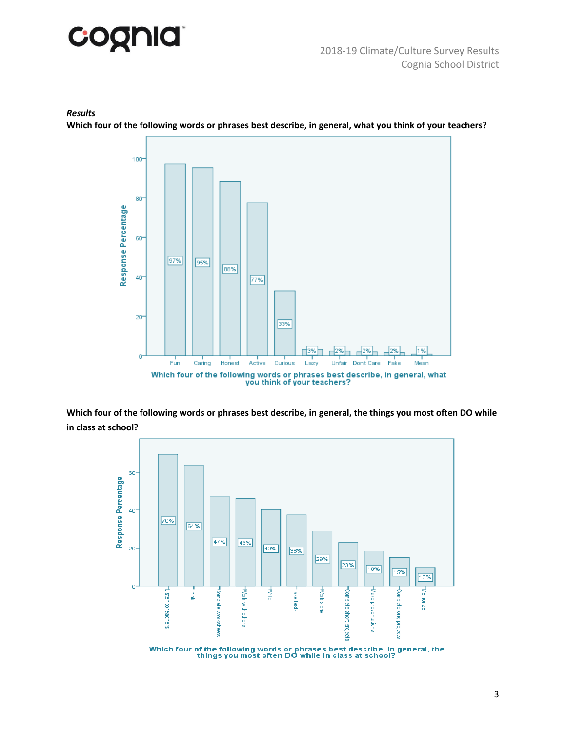

#### *Results*

**Which four of the following words or phrases best describe, in general, what you think of your teachers?**



**Which four of the following words or phrases best describe, in general, the things you most often DO while in class at school?**

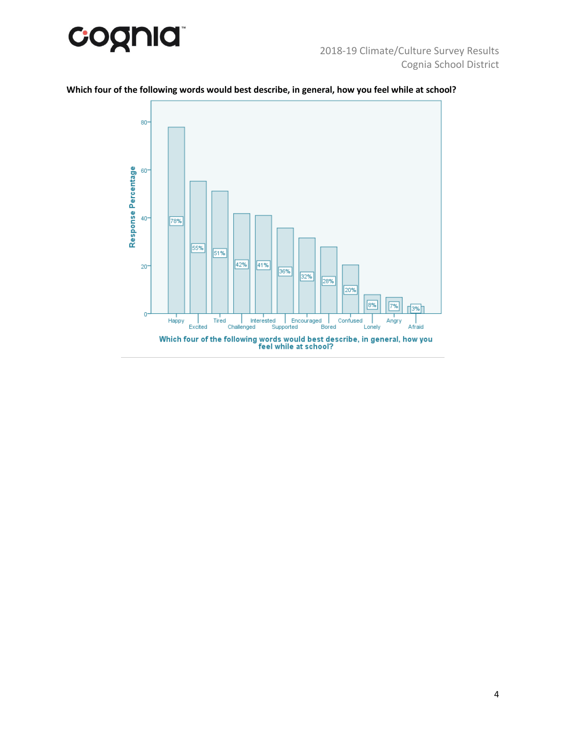



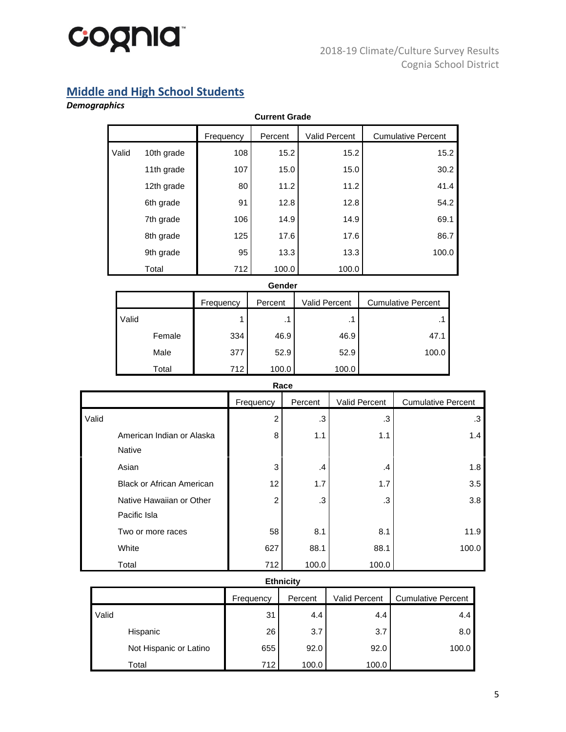

## **Middle and High School Students**

## *Demographics*

|       | <b>Current Grade</b> |           |         |                      |                           |  |  |  |  |
|-------|----------------------|-----------|---------|----------------------|---------------------------|--|--|--|--|
|       |                      | Frequency | Percent | <b>Valid Percent</b> | <b>Cumulative Percent</b> |  |  |  |  |
| Valid | 10th grade           | 108       | 15.2    | 15.2                 | 15.2                      |  |  |  |  |
|       | 11th grade           | 107       | 15.0    | 15.0                 | 30.2                      |  |  |  |  |
|       | 12th grade           | 80        | 11.2    | 11.2                 | 41.4                      |  |  |  |  |
|       | 6th grade            | 91        | 12.8    | 12.8                 | 54.2                      |  |  |  |  |
|       | 7th grade            | 106       | 14.9    | 14.9                 | 69.1                      |  |  |  |  |
|       | 8th grade            | 125       | 17.6    | 17.6                 | 86.7                      |  |  |  |  |
|       | 9th grade            | 95        | 13.3    | 13.3                 | 100.0                     |  |  |  |  |
|       | Total                | 712       | 100.0   | 100.0                |                           |  |  |  |  |

#### **Gender**

|       |        | Frequency | Percent | <b>Valid Percent</b> | <b>Cumulative Percent</b> |
|-------|--------|-----------|---------|----------------------|---------------------------|
| Valid |        | 1         | .1      | $\cdot$ .            |                           |
|       | Female | 334       | 46.9    | 46.9                 | 47.1                      |
|       | Male   | 377       | 52.9    | 52.9                 | 100.0                     |
|       | Total  | 712       | 100.0   | 100.0                |                           |

#### **Race**

|       |                                  |                | .             |               |                           |
|-------|----------------------------------|----------------|---------------|---------------|---------------------------|
|       |                                  | Frequency      | Percent       | Valid Percent | <b>Cumulative Percent</b> |
| Valid |                                  | $\overline{c}$ | .3            | .3            | .3                        |
|       | American Indian or Alaska        | 8              | 1.1           | 1.1           | 1.4                       |
|       | <b>Native</b>                    |                |               |               |                           |
|       | Asian                            | 3              | $\mathcal{A}$ | $\cdot$       | 1.8                       |
|       | <b>Black or African American</b> | 12             | 1.7           | 1.7           | 3.5                       |
|       | Native Hawaiian or Other         | $\overline{c}$ | .3            | .3            | 3.8                       |
|       | Pacific Isla                     |                |               |               |                           |
|       | Two or more races                | 58             | 8.1           | 8.1           | 11.9                      |
|       | White                            | 627            | 88.1          | 88.1          | 100.0                     |
|       | Total                            | 712            | 100.0         | 100.0         |                           |

#### **Ethnicity**

|                        | Frequency | Percent | Valid Percent | <b>Cumulative Percent</b> |
|------------------------|-----------|---------|---------------|---------------------------|
| Valid                  | 31        | 4.4     | 4.4           | 4.4                       |
| Hispanic               | 26        | 3.7     | 3.7           | 8.0                       |
| Not Hispanic or Latino | 655       | 92.0    | 92.0          | 100.0                     |
| Total                  | 712       | 100.0   | 100.0         |                           |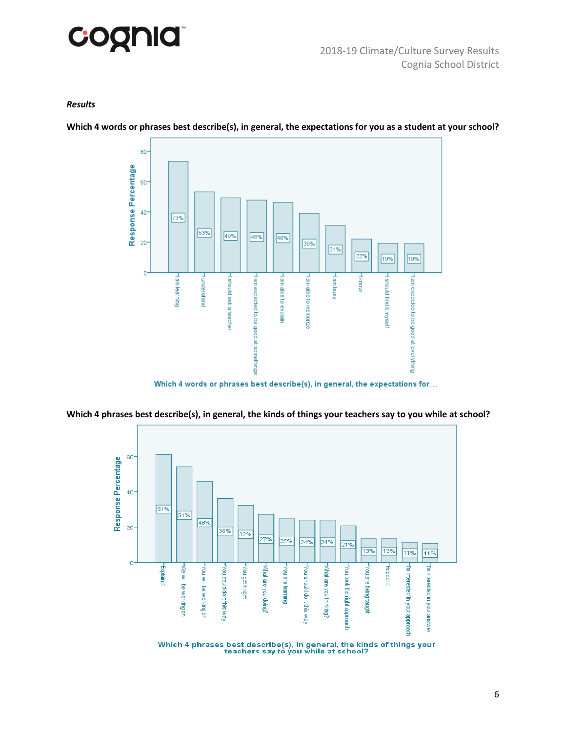

#### *Results*

**Which 4 words or phrases best describe(s), in general, the expectations for you as a student at your school?**



Which 4 words or phrases best describe(s), in general, the expectations for...



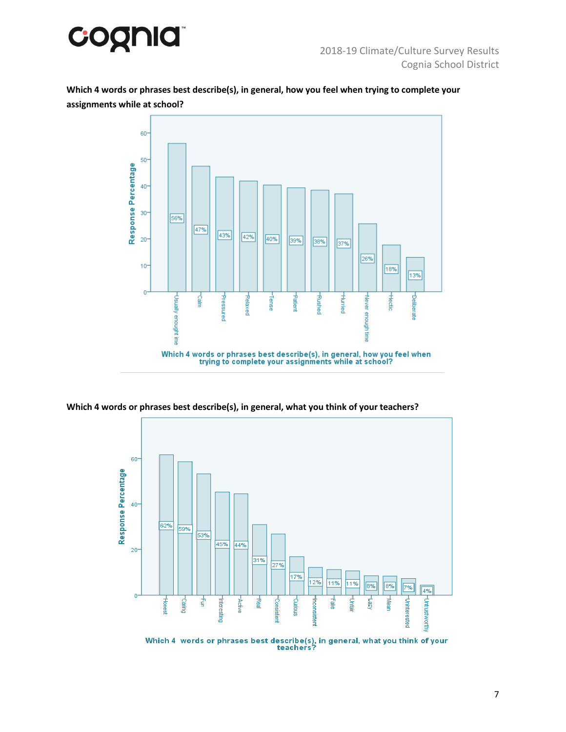

**Which 4 words or phrases best describe(s), in general, how you feel when trying to complete your assignments while at school?**



**Which 4 words or phrases best describe(s), in general, what you think of your teachers?**

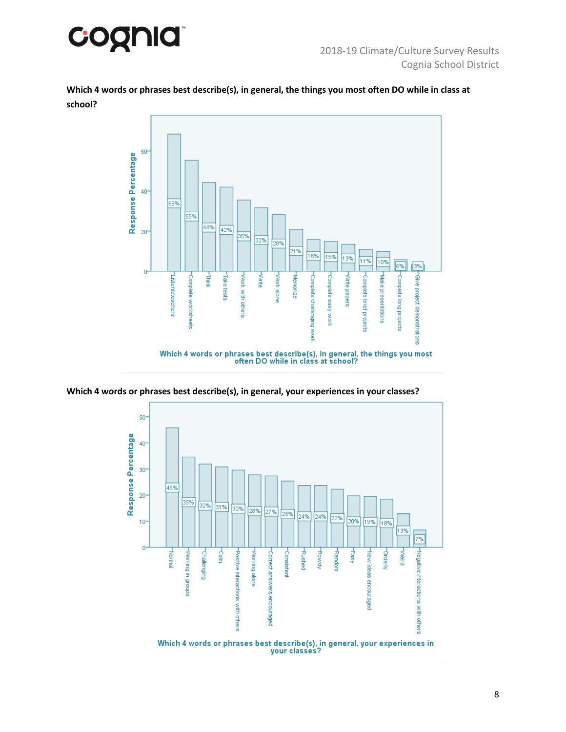

**Which 4 words or phrases best describe(s), in general, the things you most often DO while in class at school?**





**Which 4 words or phrases best describe(s), in general, your experiences in your classes?**

your classes?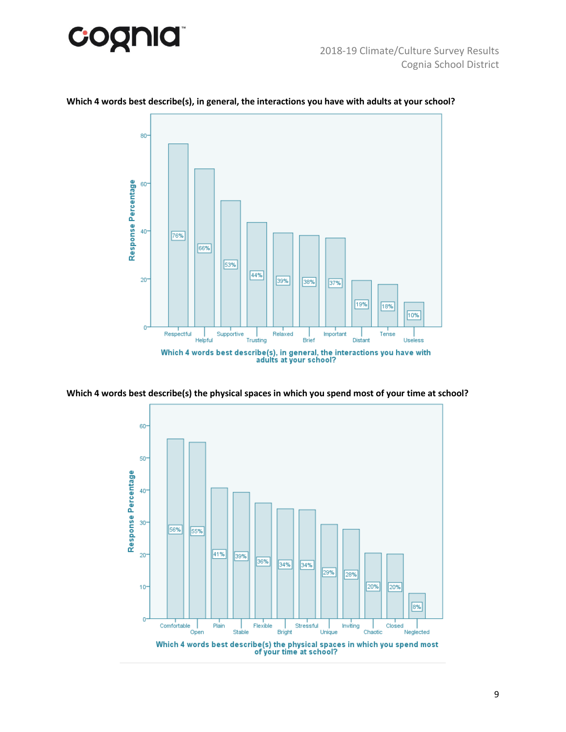



#### **Which 4 words best describe(s), in general, the interactions you have with adults at your school?**



**Which 4 words best describe(s) the physical spaces in which you spend most of your time at school?**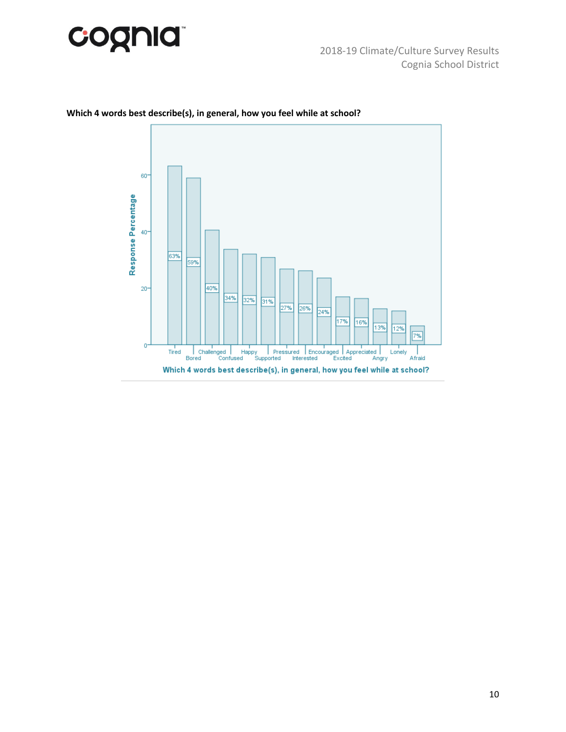



## **Which 4 words best describe(s), in general, how you feel while at school?**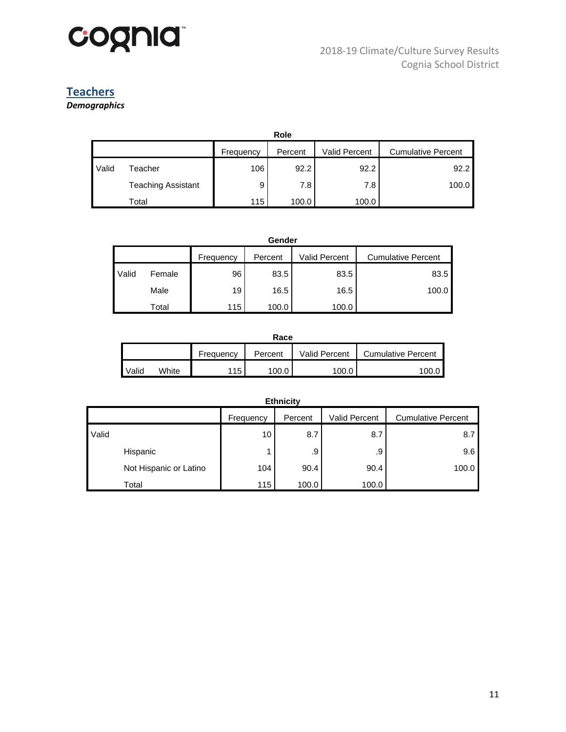

# **Teachers**

*Demographics*

|       | Role                      |           |         |                      |                           |  |  |  |  |
|-------|---------------------------|-----------|---------|----------------------|---------------------------|--|--|--|--|
|       |                           | Frequency | Percent | <b>Valid Percent</b> | <b>Cumulative Percent</b> |  |  |  |  |
| Valid | Геасһег                   | 106       | 92.2    | 92.2                 | 92.2                      |  |  |  |  |
|       | <b>Teaching Assistant</b> | 9         | 7.8     | 7.8                  | 100.0                     |  |  |  |  |
|       | Total                     | 115       | 100.0   | 100.0                |                           |  |  |  |  |

|       | Gender |           |         |               |                           |  |  |  |  |
|-------|--------|-----------|---------|---------------|---------------------------|--|--|--|--|
|       |        | Frequency | Percent | Valid Percent | <b>Cumulative Percent</b> |  |  |  |  |
| Valid | Female | 96        | 83.5    | 83.5          | 83.5                      |  |  |  |  |
|       | Male   | 19        | 16.5    | 16.5          | 100.0                     |  |  |  |  |
|       | Total  | 115       | 100.0   | 100.0         |                           |  |  |  |  |

| Race  |       |           |         |               |                           |  |  |  |
|-------|-------|-----------|---------|---------------|---------------------------|--|--|--|
|       |       | Frequency | Percent | Valid Percent | <b>Cumulative Percent</b> |  |  |  |
| Valid | White | 115       | 100.0   | 100.0         | 100.0                     |  |  |  |

| Ethnicity              |                 |         |               |                           |  |  |  |  |
|------------------------|-----------------|---------|---------------|---------------------------|--|--|--|--|
|                        | Frequency       | Percent | Valid Percent | <b>Cumulative Percent</b> |  |  |  |  |
| Valid                  | 10 <sub>1</sub> | 8.7     | 8.7           | 8.7                       |  |  |  |  |
| Hispanic               |                 | .9      | .9            | 9.6                       |  |  |  |  |
| Not Hispanic or Latino | 104             | 90.4    | 90.4          | 100.0                     |  |  |  |  |
| Total                  | 115             | 100.0   | 100.0         |                           |  |  |  |  |

#### **Ethnicity**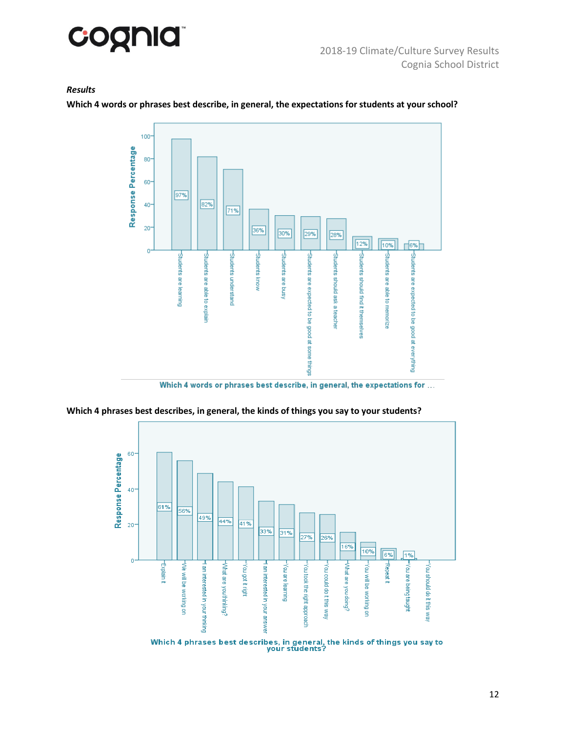

#### *Results*

**Which 4 words or phrases best describe, in general, the expectations for students at your school?**



Which 4 words or phrases best describe, in general, the expectations for ...

**Which 4 phrases best describes, in general, the kinds of things you say to your students?**

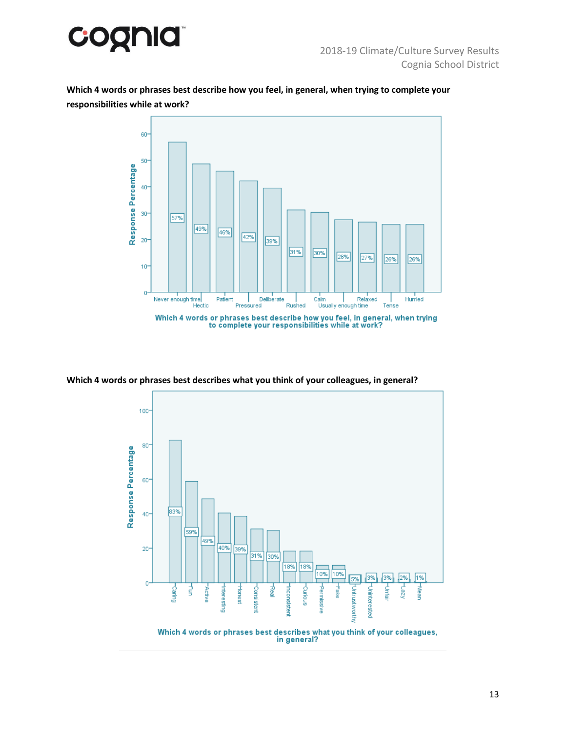

**Which 4 words or phrases best describe how you feel, in general, when trying to complete your responsibilities while at work?**



**Which 4 words or phrases best describes what you think of your colleagues, in general?**



Which 4 words or phrases best describes what you think of your colleagues,<br>in general?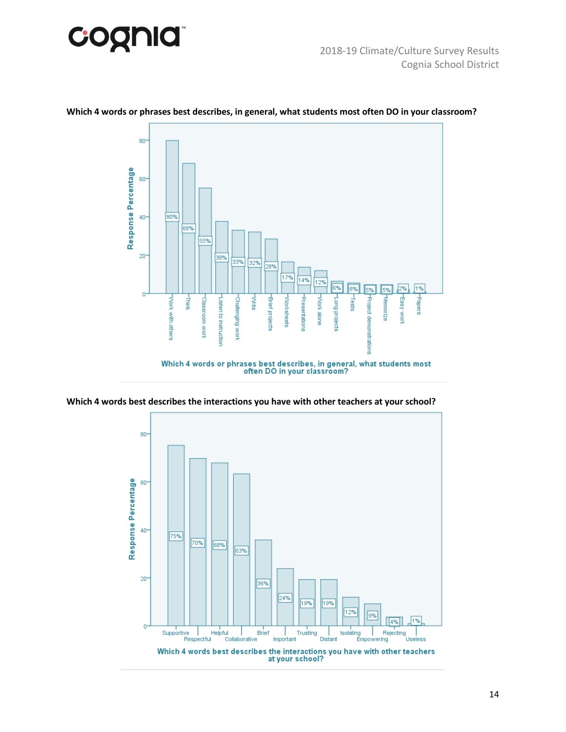



#### **Which 4 words or phrases best describes, in general, what students most often DO in your classroom?**



**Which 4 words best describes the interactions you have with other teachers at your school?**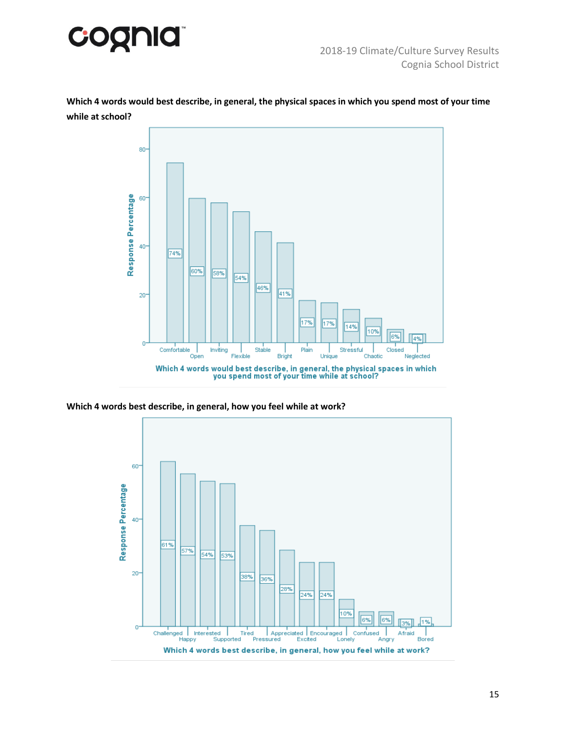

**Which 4 words would best describe, in general, the physical spaces in which you spend most of your time while at school?**



**Which 4 words best describe, in general, how you feel while at work?**

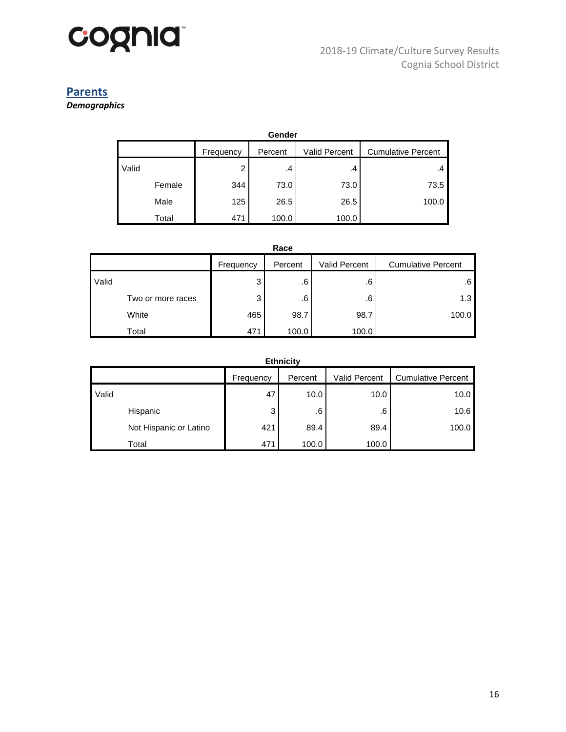

# **Parents**

*Demographics*

| Gender |        |           |         |               |                           |  |  |  |  |  |  |
|--------|--------|-----------|---------|---------------|---------------------------|--|--|--|--|--|--|
|        |        | Frequency | Percent | Valid Percent | <b>Cumulative Percent</b> |  |  |  |  |  |  |
| Valid  |        | ◠         | .4      | .4            | .4                        |  |  |  |  |  |  |
|        | Female | 344       | 73.0    | 73.0          | 73.5                      |  |  |  |  |  |  |
|        | Male   | 125       | 26.5    | 26.5          | 100.0                     |  |  |  |  |  |  |
|        | Total  | 471       | 100.0   | 100.0         |                           |  |  |  |  |  |  |

| Race  |                   |           |         |                      |                           |  |  |  |
|-------|-------------------|-----------|---------|----------------------|---------------------------|--|--|--|
|       |                   | Frequency | Percent | <b>Valid Percent</b> | <b>Cumulative Percent</b> |  |  |  |
| Valid |                   | 3         | .6      | .6                   | .6                        |  |  |  |
|       | Two or more races | 3         | .6      | .6                   | 1.3                       |  |  |  |
|       | White             | 465       | 98.7    | 98.7                 | 100.0                     |  |  |  |
|       | Total             | 471       | 100.0   | 100.0                |                           |  |  |  |

| <b>Ethnicity</b>       |           |         |                      |                           |  |  |  |  |  |
|------------------------|-----------|---------|----------------------|---------------------------|--|--|--|--|--|
|                        | Frequency | Percent | <b>Valid Percent</b> | <b>Cumulative Percent</b> |  |  |  |  |  |
| Valid                  | 47        | 10.0    | 10.0                 | 10.0                      |  |  |  |  |  |
| Hispanic               | 3         | .6      | .6                   | 10.6                      |  |  |  |  |  |
| Not Hispanic or Latino | 421       | 89.4    | 89.4                 | 100.0                     |  |  |  |  |  |
| Total                  | 471       | 100.0   | 100.0                |                           |  |  |  |  |  |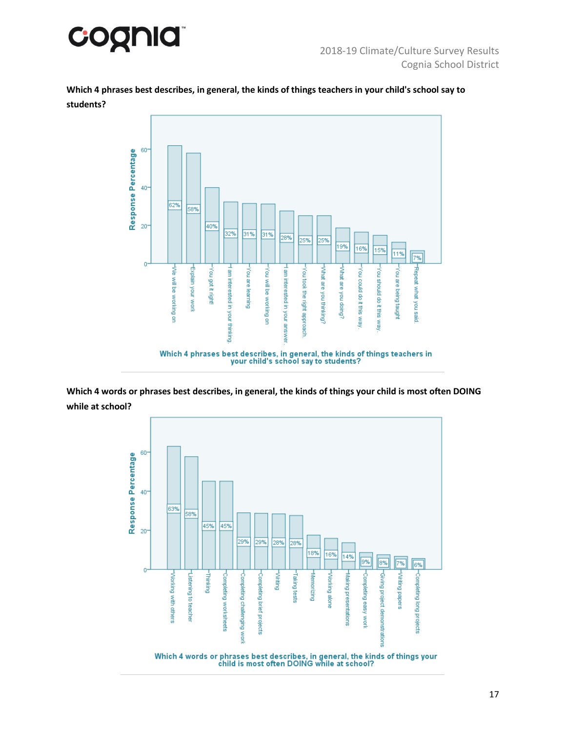

**Which 4 phrases best describes, in general, the kinds of things teachers in your child's school say to students?**



**Which 4 words or phrases best describes, in general, the kinds of things your child is most often DOING while at school?**